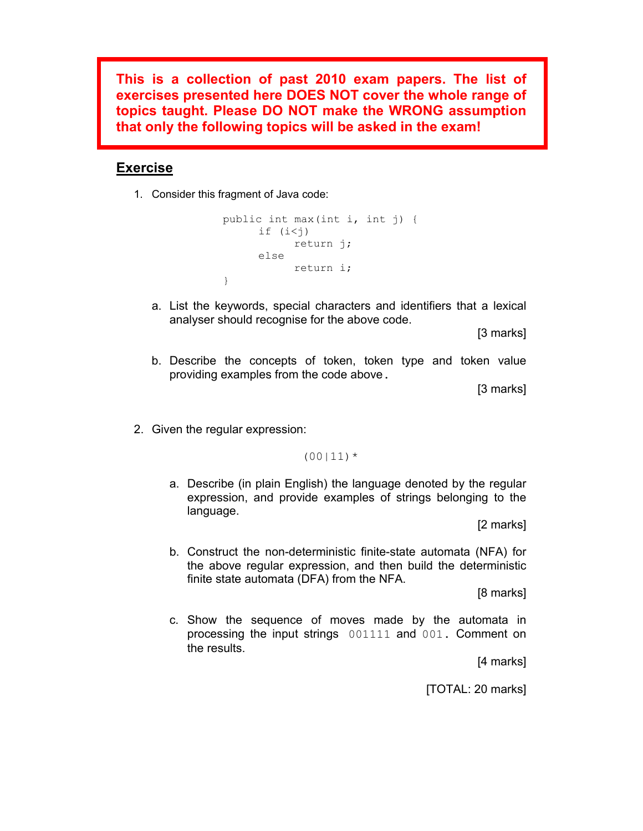**This is a collection of past 2010 exam papers. The list of exercises presented here DOES NOT cover the whole range of topics taught. Please DO NOT make the WRONG assumption that only the following topics will be asked in the exam!** 

#### **Exercise**

1. Consider this fragment of Java code:

```
public int max(int i, int j) { 
      if (i < j)return j; 
     else 
           return i; 
}
```
a. List the keywords, special characters and identifiers that a lexical analyser should recognise for the above code.

[3 marks]

b. Describe the concepts of token, token type and token value providing examples from the code above.

[3 marks]

2. Given the regular expression:

 $(00|11)*$ 

a. Describe (in plain English) the language denoted by the regular expression, and provide examples of strings belonging to the language.

[2 marks]

b. Construct the non-deterministic finite-state automata (NFA) for the above regular expression, and then build the deterministic finite state automata (DFA) from the NFA.

[8 marks]

c. Show the sequence of moves made by the automata in processing the input strings 001111 and 001. Comment on the results.

[4 marks]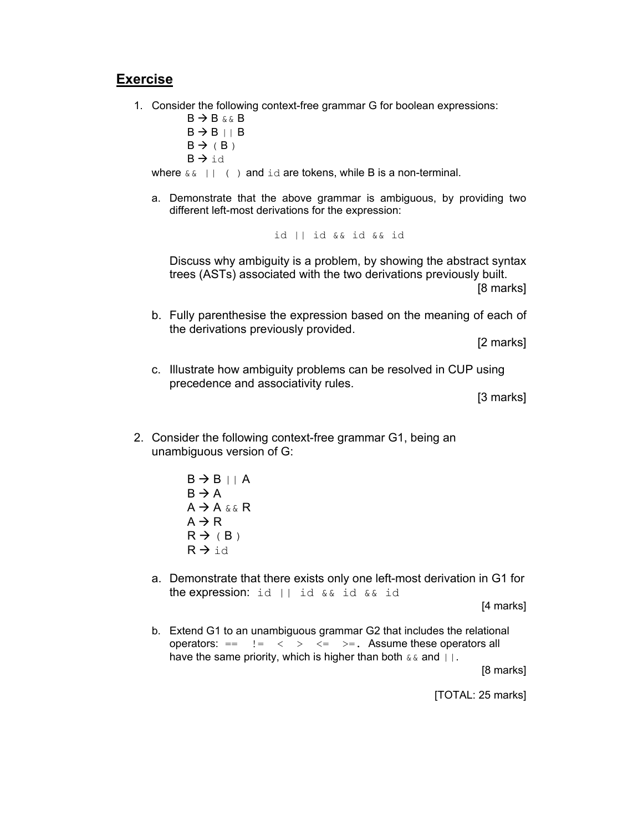1. Consider the following context-free grammar G for boolean expressions:

 $B \rightarrow B$  & & B  $B \rightarrow B || B$  $B \rightarrow (B)$  $B \rightarrow id$ where  $\&\&$  || ( ) and id are tokens, while B is a non-terminal.

a. Demonstrate that the above grammar is ambiguous, by providing two different left-most derivations for the expression:

id || id && id && id

Discuss why ambiguity is a problem, by showing the abstract syntax trees (ASTs) associated with the two derivations previously built. [8 marks]

b. Fully parenthesise the expression based on the meaning of each of the derivations previously provided.

[2 marks]

c. Illustrate how ambiguity problems can be resolved in CUP using precedence and associativity rules.

[3 marks]

- 2. Consider the following context-free grammar G1, being an unambiguous version of G:
	- $B \rightarrow B || A$  $B \rightarrow A$  $A \rightarrow A \& K$  R  $A \rightarrow R$  $R \rightarrow (B)$  $R \rightarrow id$
	- a. Demonstrate that there exists only one left-most derivation in G1 for the expression: id || id && id && id

[4 marks]

b. Extend G1 to an unambiguous grammar G2 that includes the relational operators:  $==$   $!=$   $\le$   $>$   $\le$   $\ge$   $=$   $\le$   $\ge$   $=$ . Assume these operators all have the same priority, which is higher than both  $\&\&$  and  $|\cdot|$ .

[8 marks]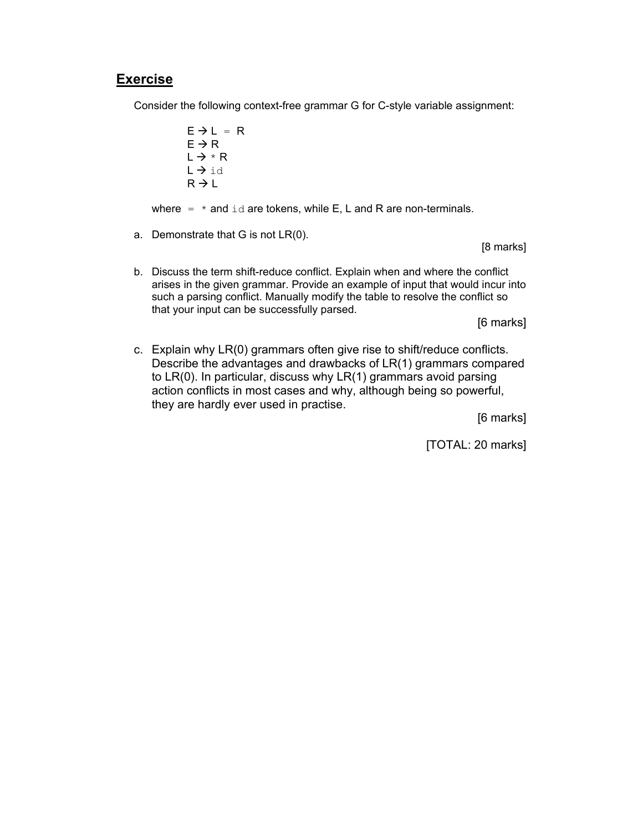Consider the following context-free grammar G for C-style variable assignment:

 $E \rightarrow L = R$  $E \rightarrow R$  $L \rightarrow * R$  $L \rightarrow id$  $R \rightarrow L$ 

where  $=$   $*$  and  $id$  are tokens, while E, L and R are non-terminals.

a. Demonstrate that G is not LR(0).

[8 marks]

b. Discuss the term shift-reduce conflict. Explain when and where the conflict arises in the given grammar. Provide an example of input that would incur into such a parsing conflict. Manually modify the table to resolve the conflict so that your input can be successfully parsed.

[6 marks]

c. Explain why LR(0) grammars often give rise to shift/reduce conflicts. Describe the advantages and drawbacks of LR(1) grammars compared to LR(0). In particular, discuss why LR(1) grammars avoid parsing action conflicts in most cases and why, although being so powerful, they are hardly ever used in practise.

[6 marks]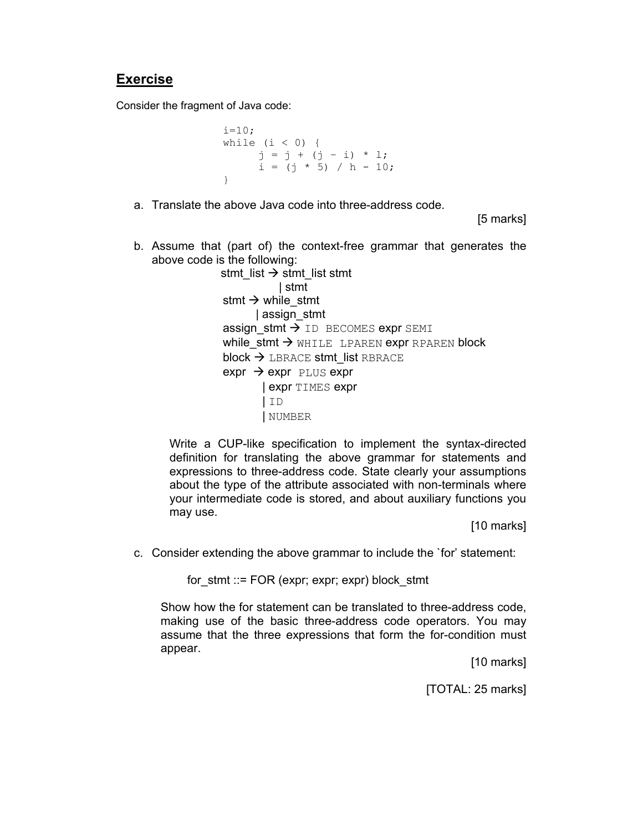Consider the fragment of Java code:

```
i=10;while (i < 0) {
     j = j + (j - i) * 1;i = (j * 5) / h - 10;}
```
a. Translate the above Java code into three-address code.

[5 marks]

b. Assume that (part of) the context-free grammar that generates the above code is the following:

> stmt\_list  $\rightarrow$  stmt\_list stmt | stmt stmt  $\rightarrow$  while stmt | assign\_stmt assign\_stmt  $\rightarrow$  ID BECOMES expr SEMI while stmt  $\rightarrow$  WHILE LPAREN expr RPAREN block  $block \rightarrow$  LBRACE stmt\_list RBRACE  $\text{expr} \rightarrow \text{expr}$  PLUS expr | expr TIMES expr | ID | NUMBER

Write a CUP-like specification to implement the syntax-directed definition for translating the above grammar for statements and expressions to three-address code. State clearly your assumptions about the type of the attribute associated with non-terminals where your intermediate code is stored, and about auxiliary functions you may use.

[10 marks]

c. Consider extending the above grammar to include the `for' statement:

for  $s$ tmt  $\equiv$  FOR (expr; expr; expr) block stmt

Show how the for statement can be translated to three-address code, making use of the basic three-address code operators. You may assume that the three expressions that form the for-condition must appear.

[10 marks]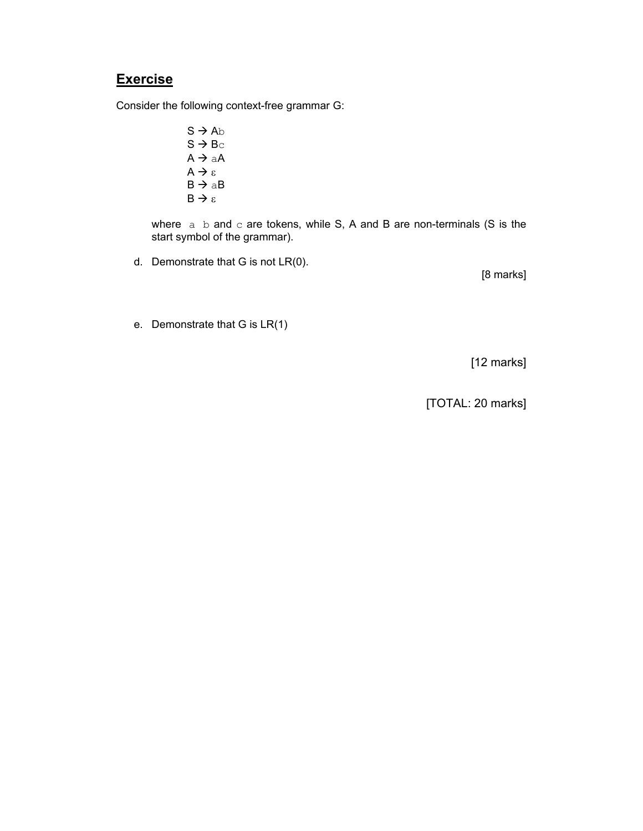Consider the following context-free grammar G:

 $S \rightarrow Ab$  $S \rightarrow BC$  $A \rightarrow aA$  $A \rightarrow \varepsilon$  $B \rightarrow aB$  $B \rightarrow \varepsilon$ 

where  $a$  b and c are tokens, while S, A and B are non-terminals (S is the start symbol of the grammar).

d. Demonstrate that G is not LR(0).

[8 marks]

e. Demonstrate that G is LR(1)

[12 marks]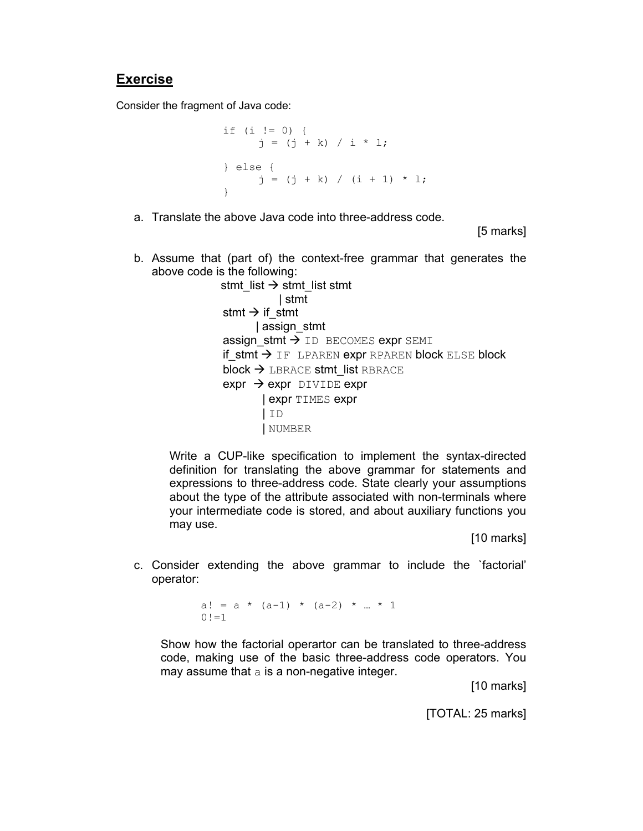Consider the fragment of Java code:

```
if (i != 0) { 
     j = (j + k) / i * 1;} else { 
     j = (j + k) / (i + 1) * l;}
```
a. Translate the above Java code into three-address code.

[5 marks]

b. Assume that (part of) the context-free grammar that generates the above code is the following:

> stmt\_list  $\rightarrow$  stmt\_list stmt | stmt stmt  $\rightarrow$  if stmt | assign\_stmt assign stmt  $\rightarrow$  ID BECOMES expr SEMI if stmt  $\rightarrow$  IF LPAREN expr RPAREN block ELSE block block  $\rightarrow$  LBRACE stmt\_list RBRACE  $expr \rightarrow expr$  DIVIDE expr | expr TIMES expr | ID | NUMBER

Write a CUP-like specification to implement the syntax-directed definition for translating the above grammar for statements and expressions to three-address code. State clearly your assumptions about the type of the attribute associated with non-terminals where your intermediate code is stored, and about auxiliary functions you may use.

[10 marks]

c. Consider extending the above grammar to include the `factorial' operator:

> a! =  $a * (a-1) * (a-2) * ... * 1$  $0! = 1$

Show how the factorial operartor can be translated to three-address code, making use of the basic three-address code operators. You may assume that a is a non-negative integer.

[10 marks]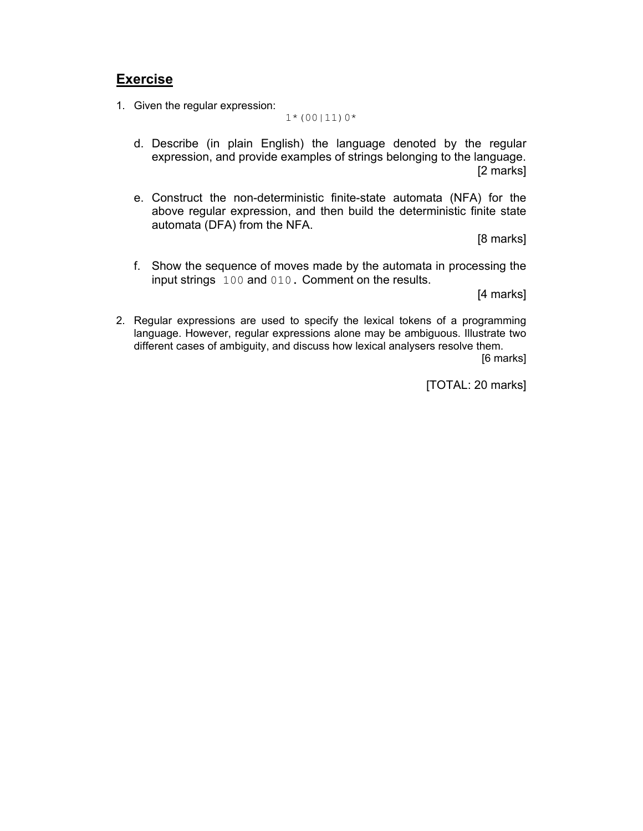1. Given the regular expression:

 $1*(00|11)0*$ 

- d. Describe (in plain English) the language denoted by the regular expression, and provide examples of strings belonging to the language. [2 marks]
- e. Construct the non-deterministic finite-state automata (NFA) for the above regular expression, and then build the deterministic finite state automata (DFA) from the NFA.

[8 marks]

f. Show the sequence of moves made by the automata in processing the input strings 100 and 010. Comment on the results.

[4 marks]

2. Regular expressions are used to specify the lexical tokens of a programming language. However, regular expressions alone may be ambiguous. Illustrate two different cases of ambiguity, and discuss how lexical analysers resolve them. [6 marks]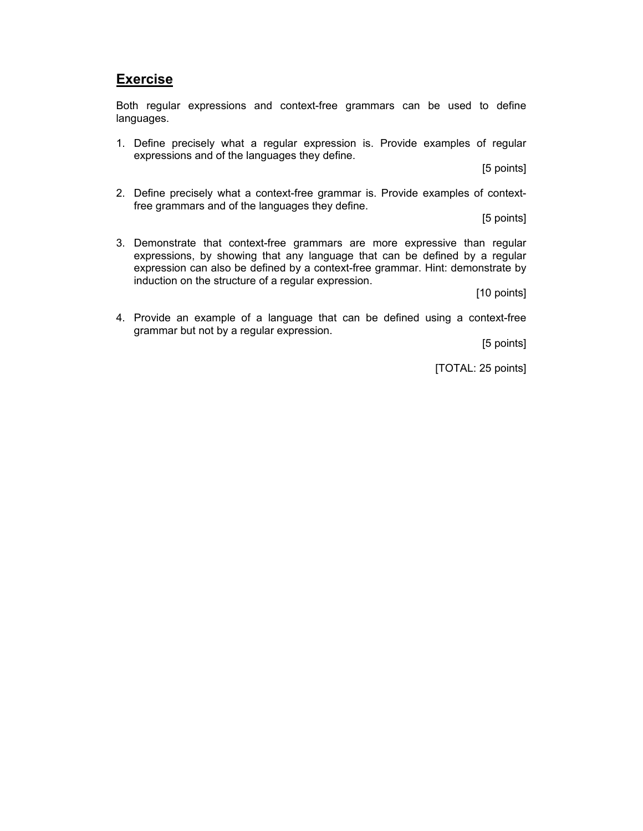Both regular expressions and context-free grammars can be used to define languages.

1. Define precisely what a regular expression is. Provide examples of regular expressions and of the languages they define.

[5 points]

2. Define precisely what a context-free grammar is. Provide examples of contextfree grammars and of the languages they define.

[5 points]

3. Demonstrate that context-free grammars are more expressive than regular expressions, by showing that any language that can be defined by a regular expression can also be defined by a context-free grammar. Hint: demonstrate by induction on the structure of a regular expression.

[10 points]

4. Provide an example of a language that can be defined using a context-free grammar but not by a regular expression.

[5 points]

[TOTAL: 25 points]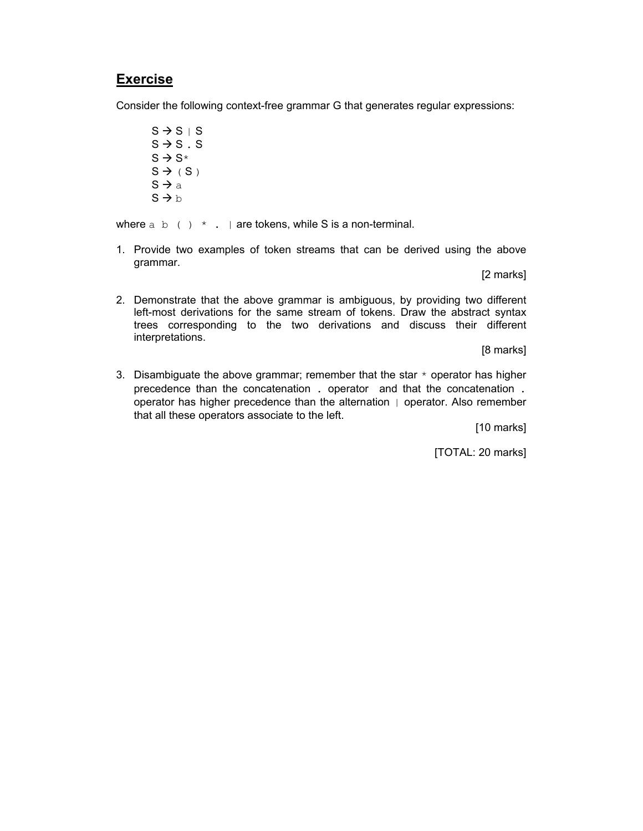Consider the following context-free grammar G that generates regular expressions:

 $S \rightarrow S S S$  $S \rightarrow S$ . S  $S \rightarrow S^*$  $S \rightarrow (S)$  $S \rightarrow a$  $S \rightarrow b$ 

where  $a \, b \,$  ( )  $\star \,$  . | are tokens, while S is a non-terminal.

1. Provide two examples of token streams that can be derived using the above grammar.

[2 marks]

2. Demonstrate that the above grammar is ambiguous, by providing two different left-most derivations for the same stream of tokens. Draw the abstract syntax trees corresponding to the two derivations and discuss their different interpretations.

[8 marks]

3. Disambiguate the above grammar; remember that the star  $*$  operator has higher precedence than the concatenation . operator and that the concatenation . operator has higher precedence than the alternation | operator. Also remember that all these operators associate to the left.

[10 marks]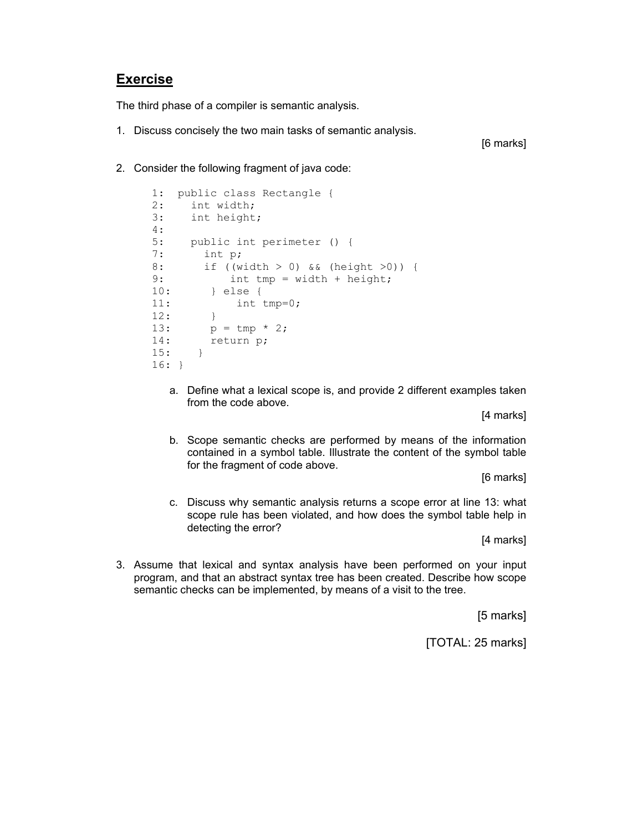The third phase of a compiler is semantic analysis.

1. Discuss concisely the two main tasks of semantic analysis.

[6 marks]

2. Consider the following fragment of java code:

```
1: public class Rectangle { 
2: int width; 
3: int height; 
4: 
5: public int perimeter () {<br>7: int p;
7: int p;<br>8: if (w)if ((width > 0) && (height >0)) {
9: int tmp = width + height; 
10: } else { 
11: int tmp=0; 
\begin{array}{ccc} 12: & & \\ 13: & & p \end{array}p = \text{tmp} * 2;14: return p; 
15: } 
16: }
```
a. Define what a lexical scope is, and provide 2 different examples taken from the code above.

[4 marks]

b. Scope semantic checks are performed by means of the information contained in a symbol table. Illustrate the content of the symbol table for the fragment of code above.

[6 marks]

c. Discuss why semantic analysis returns a scope error at line 13: what scope rule has been violated, and how does the symbol table help in detecting the error?

[4 marks]

3. Assume that lexical and syntax analysis have been performed on your input program, and that an abstract syntax tree has been created. Describe how scope semantic checks can be implemented, by means of a visit to the tree.

[5 marks]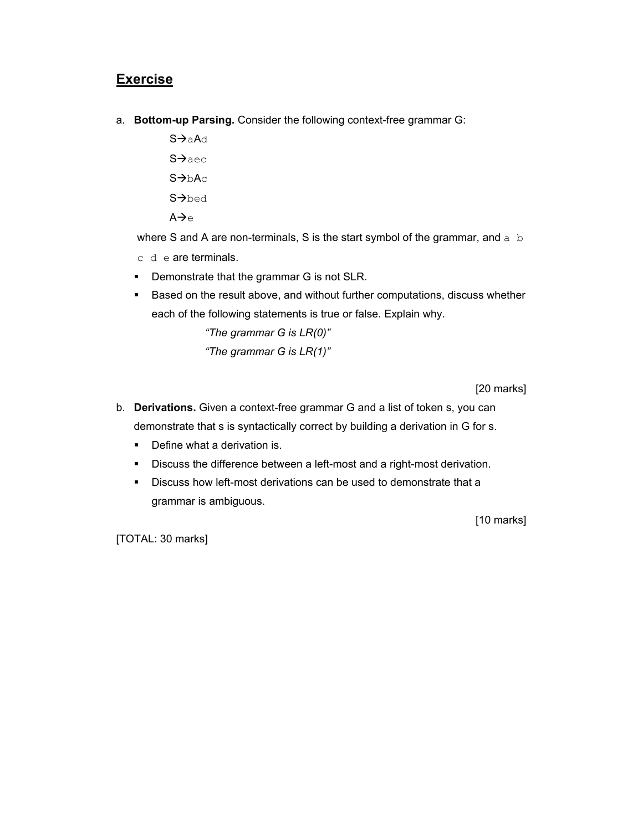- a. **Bottom-up Parsing.** Consider the following context-free grammar G:
	- S $\rightarrow$ aAd  $S \rightarrow$ aec  $S \rightarrow bAC$ S->bed

 $A \rightarrow e$ 

where S and A are non-terminals, S is the start symbol of the grammar, and  $a\,$  b

- c d e are terminals.
- **•** Demonstrate that the grammar G is not SLR.
- **Based on the result above, and without further computations, discuss whether** each of the following statements is true or false. Explain why.

*"The grammar G is LR(0)" "The grammar G is LR(1)"* 

[20 marks]

- b. **Derivations.** Given a context-free grammar G and a list of token s, you can demonstrate that s is syntactically correct by building a derivation in G for s.
	- Define what a derivation is.
	- Discuss the difference between a left-most and a right-most derivation.
	- Discuss how left-most derivations can be used to demonstrate that a grammar is ambiguous.

[10 marks]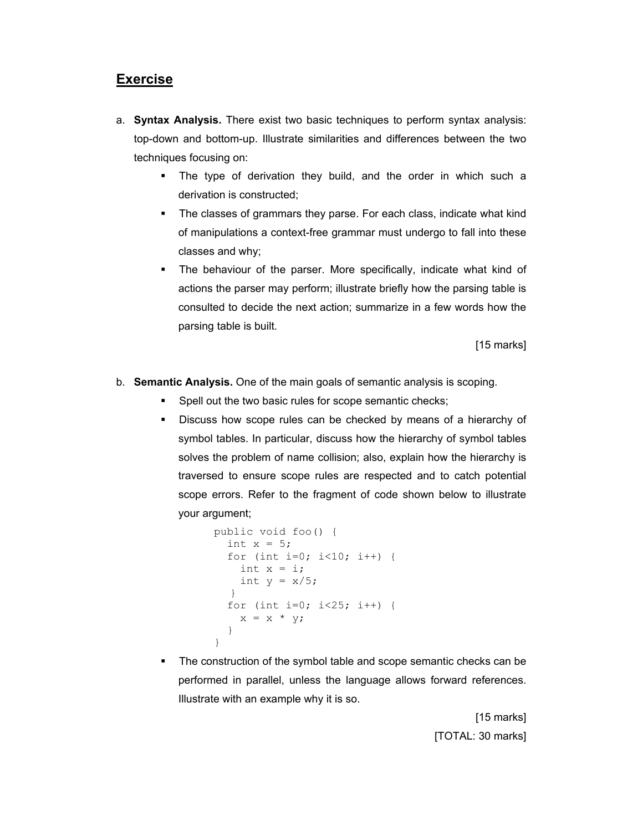- a. **Syntax Analysis.** There exist two basic techniques to perform syntax analysis: top-down and bottom-up. Illustrate similarities and differences between the two techniques focusing on:
	- The type of derivation they build, and the order in which such a derivation is constructed;
	- The classes of grammars they parse. For each class, indicate what kind of manipulations a context-free grammar must undergo to fall into these classes and why;
	- The behaviour of the parser. More specifically, indicate what kind of actions the parser may perform; illustrate briefly how the parsing table is consulted to decide the next action; summarize in a few words how the parsing table is built.

[15 marks]

- b. **Semantic Analysis.** One of the main goals of semantic analysis is scoping.
	- **Spell out the two basic rules for scope semantic checks;**
	- Discuss how scope rules can be checked by means of a hierarchy of symbol tables. In particular, discuss how the hierarchy of symbol tables solves the problem of name collision; also, explain how the hierarchy is traversed to ensure scope rules are respected and to catch potential scope errors. Refer to the fragment of code shown below to illustrate your argument;

```
public void foo() { 
                int x = 5;
                for (int i=0; i<10; i++) {
                 int x = i;
                 int y = x/5;
 } 
                 for (int i=0; i<25; i++) { 
                 x = x * y; } 
              }
```
 The construction of the symbol table and scope semantic checks can be performed in parallel, unless the language allows forward references. Illustrate with an example why it is so.

> [15 marks] [TOTAL: 30 marks]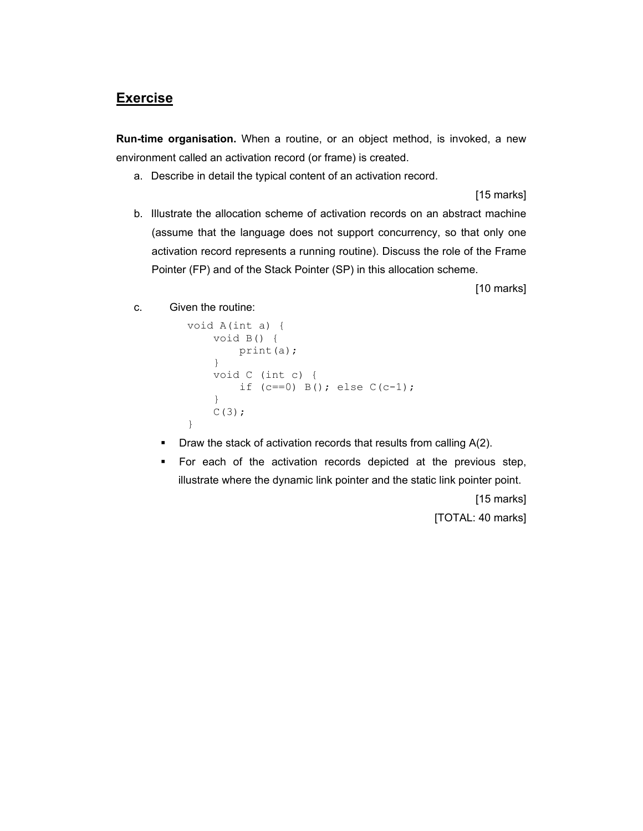**Run-time organisation.** When a routine, or an object method, is invoked, a new environment called an activation record (or frame) is created.

a. Describe in detail the typical content of an activation record.

[15 marks]

b. Illustrate the allocation scheme of activation records on an abstract machine (assume that the language does not support concurrency, so that only one activation record represents a running routine). Discuss the role of the Frame Pointer (FP) and of the Stack Pointer (SP) in this allocation scheme.

[10 marks]

c. Given the routine:

```
void A(int a) { 
     void B() { 
          print(a); 
      } 
     void C (int c) { 
         if (c==0) B(); else C(c-1);
      } 
    C(3);
}
```
- $\blacksquare$  Draw the stack of activation records that results from calling  $A(2)$ .
- For each of the activation records depicted at the previous step, illustrate where the dynamic link pointer and the static link pointer point.

[15 marks]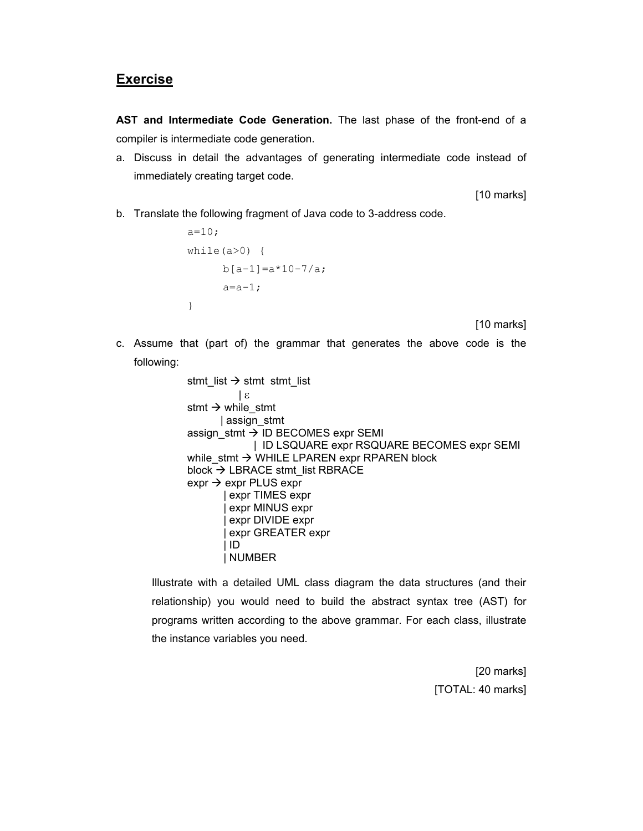**AST and Intermediate Code Generation.** The last phase of the front-end of a compiler is intermediate code generation.

a. Discuss in detail the advantages of generating intermediate code instead of immediately creating target code.

[10 marks]

b. Translate the following fragment of Java code to 3-address code.

```
a=10;while(a>0) {
     b[a-1]=a*10-7/a;a=a-1;}
```
[10 marks]

c. Assume that (part of) the grammar that generates the above code is the following:

```
stmt_list \rightarrow stmt_stmt_list
             | ε
stmt \rightarrow while_stmt
        | assign_stmt 
assign_stmt \rightarrow ID BECOMES expr SEMI
                | ID LSQUARE expr RSQUARE BECOMES expr SEMI 
while stmt \rightarrow WHILE LPAREN expr RPAREN block
block \rightarrow LBRACE stmt_list RBRACE
\text{expr} \rightarrow \text{expr} PLUS expr
         | expr TIMES expr 
         | expr MINUS expr 
          | expr DIVIDE expr 
         | expr GREATER expr 
         | ID 
         | NUMBER
```
Illustrate with a detailed UML class diagram the data structures (and their relationship) you would need to build the abstract syntax tree (AST) for programs written according to the above grammar. For each class, illustrate the instance variables you need.

> [20 marks] [TOTAL: 40 marks]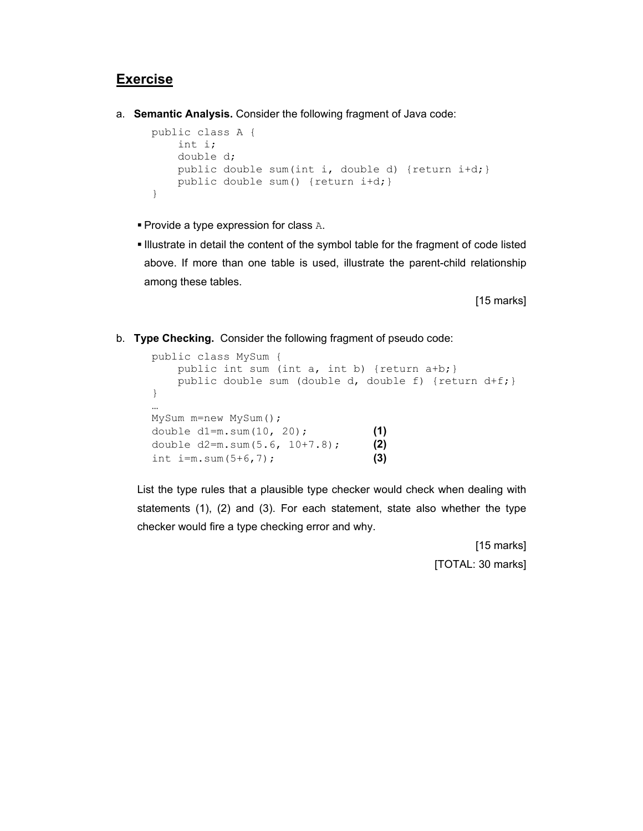a. **Semantic Analysis.** Consider the following fragment of Java code:

```
public class A { 
     int i; 
     double d; 
     public double sum(int i, double d) {return i+d;} 
     public double sum() {return i+d;} 
}
```
- $\blacksquare$  Provide a type expression for class A.
- Illustrate in detail the content of the symbol table for the fragment of code listed above. If more than one table is used, illustrate the parent-child relationship among these tables.

[15 marks]

b. **Type Checking.** Consider the following fragment of pseudo code:

```
public class MySum { 
   public int sum (int a, int b) {return a+b; }
    public double sum (double d, double f) {return d+f;} 
} 
… 
MySum m=new MySum(); 
double d1=m.sum(10, 20); (1)
double d2=m.sum(5.6, 10+7.8); (2)
int i=m.sum(5+6,7); (3)
```
List the type rules that a plausible type checker would check when dealing with statements (1), (2) and (3). For each statement, state also whether the type checker would fire a type checking error and why.

> [15 marks] [TOTAL: 30 marks]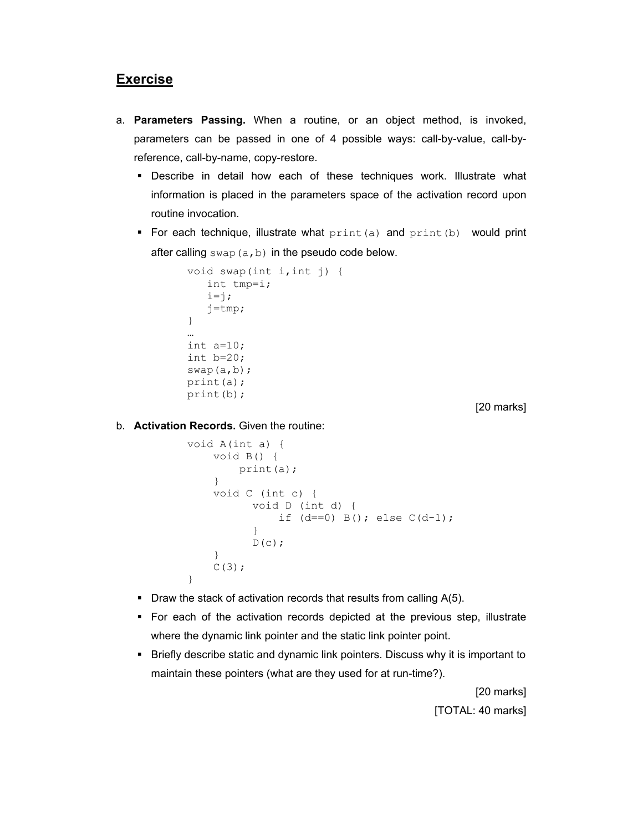- a. **Parameters Passing.** When a routine, or an object method, is invoked, parameters can be passed in one of 4 possible ways: call-by-value, call-byreference, call-by-name, copy-restore.
	- Describe in detail how each of these techniques work. Illustrate what information is placed in the parameters space of the activation record upon routine invocation.
	- For each technique, illustrate what  $print(a)$  and  $print(b)$  would print after calling  $swap(a,b)$  in the pseudo code below.

```
void swap(int i,int j) { 
    int tmp=i; 
   i=1; j=tmp; 
} 
… 
int a=10; 
int b=20; 
swap(a,b); 
print(a); 
print(b);
```
[20 marks]

b. **Activation Records.** Given the routine:

```
void A(int a) { 
     void B() { 
         print(a); 
     } 
     void C (int c) { 
           void D (int d) { 
               if (d==0) B(); else C(d-1);
 } 
           D(c);
     } 
    C(3);
}
```
- Draw the stack of activation records that results from calling  $A(5)$ .
- For each of the activation records depicted at the previous step, illustrate where the dynamic link pointer and the static link pointer point.
- **Briefly describe static and dynamic link pointers. Discuss why it is important to** maintain these pointers (what are they used for at run-time?).

[20 marks] [TOTAL: 40 marks]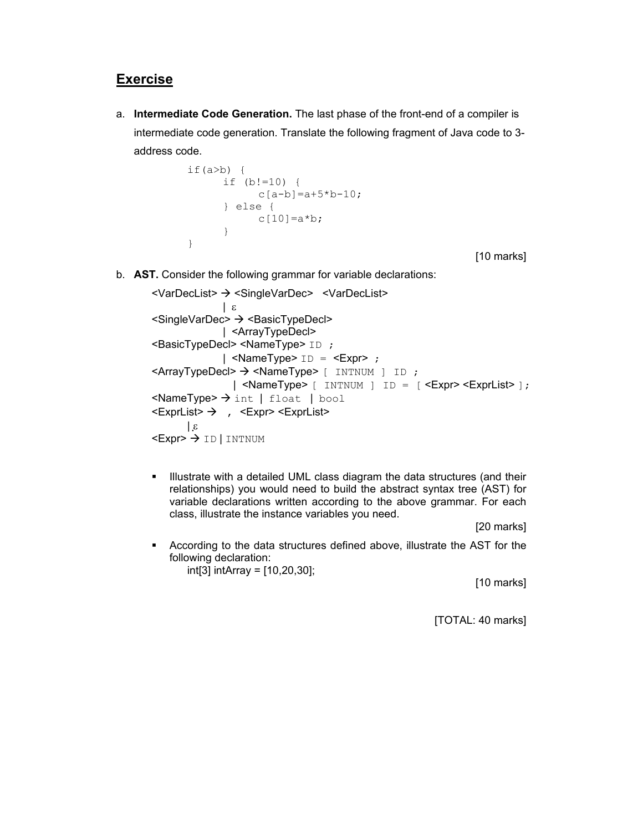a. **Intermediate Code Generation.** The last phase of the front-end of a compiler is intermediate code generation. Translate the following fragment of Java code to 3 address code.

```
if(a>b) {
      if (b!=10) {
            c[a-b] = a+5*b-10; } else { 
            c[10]=a*b; } 
}
```
[10 marks]

b. **AST.** Consider the following grammar for variable declarations:

```
<VarDecList> > <SingleVarDec> <VarDecList>
               | ε 
<SingleVarDec> → <BasicTypeDecl>
              | <ArrayTypeDecl> 
<BasicTypeDecl> <NameType> ID ; 
              | \leqNameType> ID = \leqExpr> ;
\leqArrayTypeDecl> \rightarrow \leqNameType> [ INTNUM ] ID ;
                 | <NameType> [ INTNUM ] ID = [ <Expr> <ExprList> ];
\leqNameType> \rightarrow int | float | bool
\leExprList> \rightarrow , \leExpr> \leExprList>
       \mathbf{g}<Expr> \rightarrow ID | INTNUM
```
**Illustrate with a detailed UML class diagram the data structures (and their** relationships) you would need to build the abstract syntax tree (AST) for variable declarations written according to the above grammar. For each class, illustrate the instance variables you need.

[20 marks]

 According to the data structures defined above, illustrate the AST for the following declaration: int[3] intArray = [10,20,30];

[10 marks]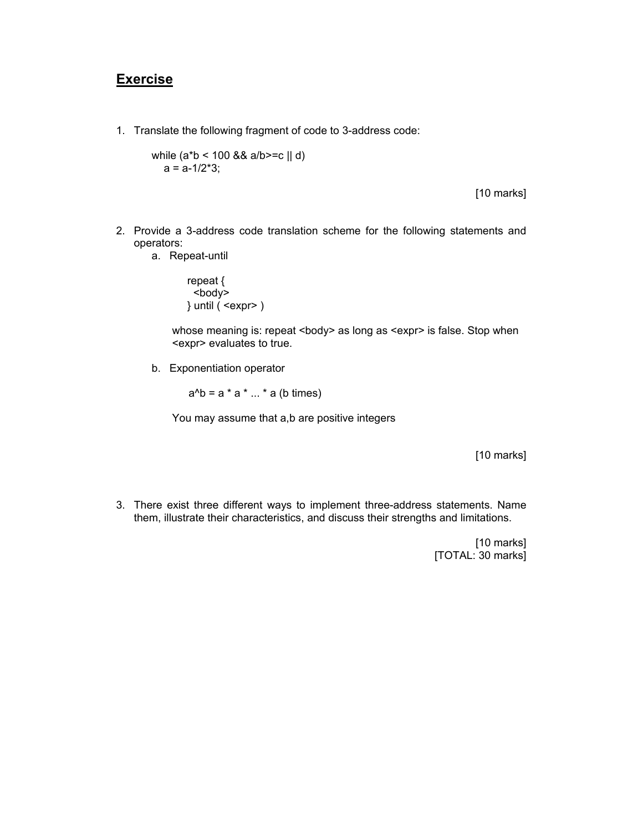1. Translate the following fragment of code to 3-address code:

while (a\*b < 100 && a/b>=c || d)  $a = a - 1/2 \times 3$ ;

[10 marks]

- 2. Provide a 3-address code translation scheme for the following statements and operators:
	- a. Repeat-until

repeat { <body> } until ( <expr> )

whose meaning is: repeat <br/>body> as long as <expr> is false. Stop when <expr> evaluates to true.

b. Exponentiation operator

 $a^b = a^* a^* ... * a$  (b times)

You may assume that a,b are positive integers

[10 marks]

3. There exist three different ways to implement three-address statements. Name them, illustrate their characteristics, and discuss their strengths and limitations.

> [10 marks] [TOTAL: 30 marks]